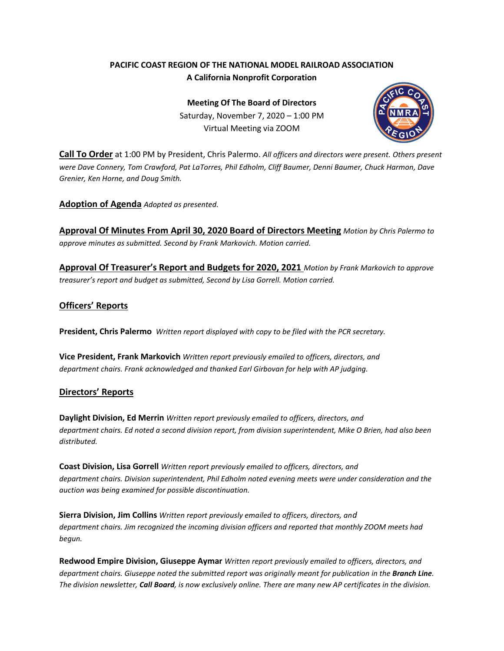## **PACIFIC COAST REGION OF THE NATIONAL MODEL RAILROAD ASSOCIATION A California Nonprofit Corporation**

**Meeting Of The Board of Directors** Saturday, November 7, 2020 – 1:00 PM Virtual Meeting via ZOOM



**Call To Order** at 1:00 PM by President, Chris Palermo. *All officers and directors were present. Others present were Dave Connery, Tom Crawford, Pat LaTorres, Phil Edholm, Cliff Baumer, Denni Baumer, Chuck Harmon, Dave Grenier, Ken Horne, and Doug Smith.*

**Adoption of Agenda** *Adopted as presented.*

**Approval Of Minutes From April 30, 2020 Board of Directors Meeting** *Motion by Chris Palermo to approve minutes as submitted. Second by Frank Markovich. Motion carried.*

**Approval Of Treasurer's Report and Budgets for 2020, 2021** *Motion by Frank Markovich to approve treasurer's report and budget as submitted, Second by Lisa Gorrell. Motion carried.*

## **Officers' Reports**

**President, Chris Palermo** *Written report displayed with copy to be filed with the PCR secretary.*

**Vice President, Frank Markovich** *Written report previously emailed to officers, directors, and department chairs. Frank acknowledged and thanked Earl Girbovan for help with AP judging.*

### **Directors' Reports**

**Daylight Division, Ed Merrin** *Written report previously emailed to officers, directors, and department chairs. Ed noted a second division report, from division superintendent, Mike O Brien, had also been distributed.*

**Coast Division, Lisa Gorrell** *Written report previously emailed to officers, directors, and department chairs. Division superintendent, Phil Edholm noted evening meets were under consideration and the auction was being examined for possible discontinuation.*

**Sierra Division, Jim Collins** *Written report previously emailed to officers, directors, and department chairs. Jim recognized the incoming division officers and reported that monthly ZOOM meets had begun.*

**Redwood Empire Division, Giuseppe Aymar** *Written report previously emailed to officers, directors, and department chairs. Giuseppe noted the submitted report was originally meant for publication in the Branch Line. The division newsletter, Call Board, is now exclusively online. There are many new AP certificates in the division.*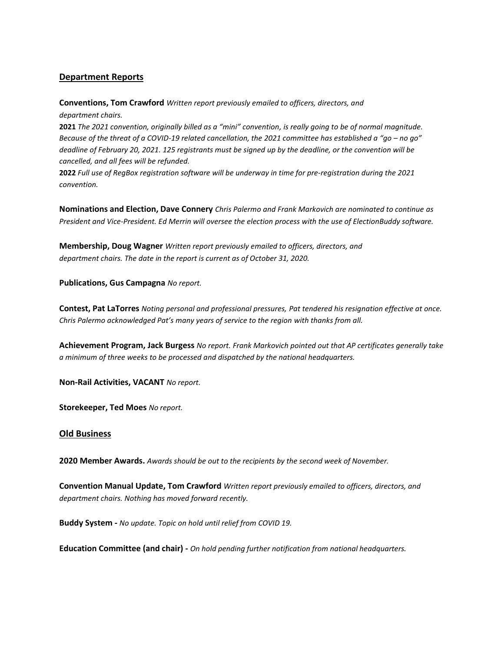## **Department Reports**

**Conventions, Tom Crawford** *Written report previously emailed to officers, directors, and department chairs.*

**2021** *The 2021 convention, originally billed as a "mini" convention, is really going to be of normal magnitude. Because of the threat of a COVID-19 related cancellation, the 2021 committee has established a "go – no go" deadline of February 20, 2021. 125 registrants must be signed up by the deadline, or the convention will be cancelled, and all fees will be refunded.*

**2022** *Full use of RegBox registration software will be underway in time for pre-registration during the 2021 convention.*

**Nominations and Election, Dave Connery** *Chris Palermo and Frank Markovich are nominated to continue as President and Vice-President. Ed Merrin will oversee the election process with the use of ElectionBuddy software.*

**Membership, Doug Wagner** *Written report previously emailed to officers, directors, and department chairs. The date in the report is current as of October 31, 2020.*

**Publications, Gus Campagna** *No report.*

**Contest, Pat LaTorres** *Noting personal and professional pressures, Pat tendered his resignation effective at once. Chris Palermo acknowledged Pat's many years of service to the region with thanks from all.*

**Achievement Program, Jack Burgess** *No report. Frank Markovich pointed out that AP certificates generally take a minimum of three weeks to be processed and dispatched by the national headquarters.*

**Non-Rail Activities, VACANT** *No report.*

**Storekeeper, Ted Moes** *No report.* 

#### **Old Business**

**2020 Member Awards.** *Awards should be out to the recipients by the second week of November.*

**Convention Manual Update, Tom Crawford** *Written report previously emailed to officers, directors, and department chairs. Nothing has moved forward recently.*

**Buddy System -** *No update. Topic on hold until relief from COVID 19.*

**Education Committee (and chair) -** *On hold pending further notification from national headquarters.*